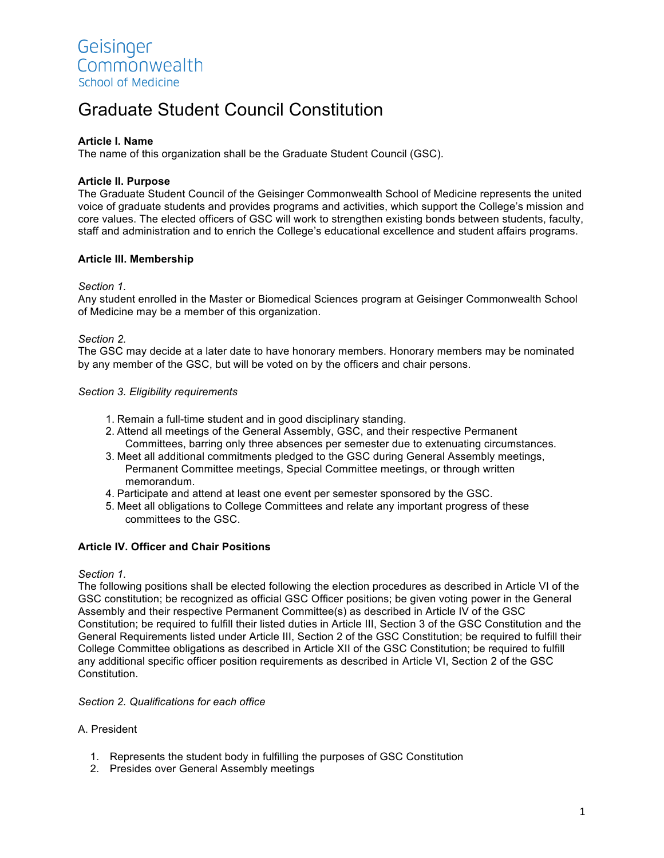# Graduate Student Council Constitution

#### **Article I. Name**

The name of this organization shall be the Graduate Student Council (GSC).

#### **Article II. Purpose**

The Graduate Student Council of the Geisinger Commonwealth School of Medicine represents the united voice of graduate students and provides programs and activities, which support the College's mission and core values. The elected officers of GSC will work to strengthen existing bonds between students, faculty, staff and administration and to enrich the College's educational excellence and student affairs programs.

#### **Article III. Membership**

#### *Section 1.*

Any student enrolled in the Master or Biomedical Sciences program at Geisinger Commonwealth School of Medicine may be a member of this organization.

#### *Section 2.*

The GSC may decide at a later date to have honorary members. Honorary members may be nominated by any member of the GSC, but will be voted on by the officers and chair persons.

#### *Section 3. Eligibility requirements*

- 1. Remain a full-time student and in good disciplinary standing.
- 2. Attend all meetings of the General Assembly, GSC, and their respective Permanent Committees, barring only three absences per semester due to extenuating circumstances.
- 3. Meet all additional commitments pledged to the GSC during General Assembly meetings, Permanent Committee meetings, Special Committee meetings, or through written memorandum.
- 4. Participate and attend at least one event per semester sponsored by the GSC.
- 5. Meet all obligations to College Committees and relate any important progress of these committees to the GSC.

#### **Article IV. Officer and Chair Positions**

#### *Section 1.*

The following positions shall be elected following the election procedures as described in Article VI of the GSC constitution; be recognized as official GSC Officer positions; be given voting power in the General Assembly and their respective Permanent Committee(s) as described in Article IV of the GSC Constitution; be required to fulfill their listed duties in Article III, Section 3 of the GSC Constitution and the General Requirements listed under Article III, Section 2 of the GSC Constitution; be required to fulfill their College Committee obligations as described in Article XII of the GSC Constitution; be required to fulfill any additional specific officer position requirements as described in Article VI, Section 2 of the GSC Constitution.

#### *Section 2. Qualifications for each office*

#### A. President

- 1. Represents the student body in fulfilling the purposes of GSC Constitution
- 2. Presides over General Assembly meetings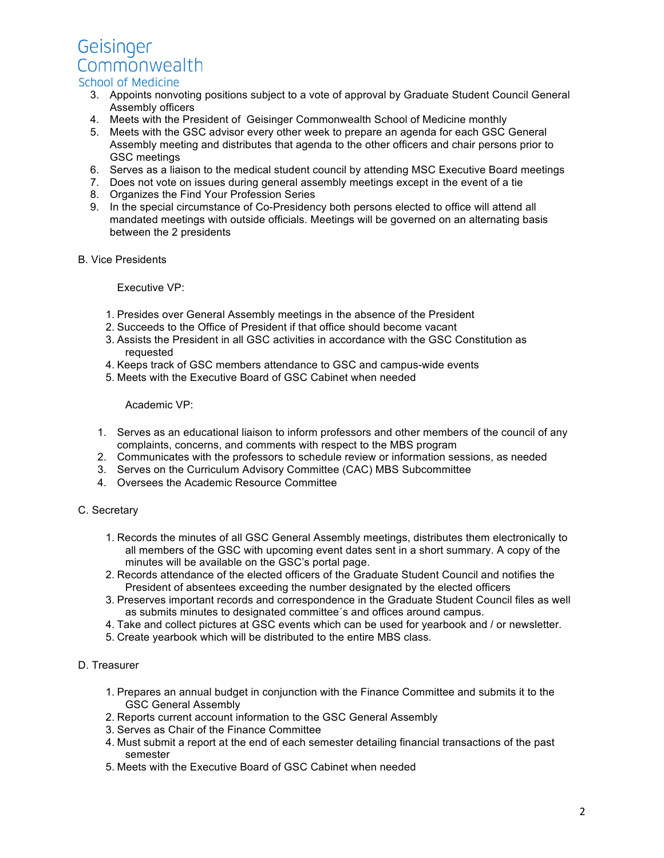Geisinger Commonwealth

# School of Medicine

- 3. Appoints nonvoting positions subject to a vote of approval by Graduate Student Council General Assembly officers
- 4. Meets with the President of Geisinger Commonwealth School of Medicine monthly
- 5. Meets with the GSC advisor every other week to prepare an agenda for each GSC General Assembly meeting and distributes that agenda to the other officers and chair persons prior to GSC meetings
- 6. Serves as a liaison to the medical student council by attending MSC Executive Board meetings
- 7. Does not vote on issues during general assembly meetings except in the event of a tie
- 8. Organizes the Find Your Profession Series
- 9. In the special circumstance of Co-Presidency both persons elected to office will attend all mandated meetings with outside officials. Meetings will be governed on an alternating basis between the 2 presidents
- B. Vice Presidents

Executive VP:

- 1. Presides over General Assembly meetings in the absence of the President
- 2. Succeeds to the Office of President if that office should become vacant
- 3. Assists the President in all GSC activities in accordance with the GSC Constitution as requested
- 4. Keeps track of GSC members attendance to GSC and campus-wide events
- 5. Meets with the Executive Board of GSC Cabinet when needed

Academic VP:

- 1. Serves as an educational liaison to inform professors and other members of the council of any complaints, concerns, and comments with respect to the MBS program
- 2. Communicates with the professors to schedule review or information sessions, as needed
- 3. Serves on the Curriculum Advisory Committee (CAC) MBS Subcommittee
- 4. Oversees the Academic Resource Committee

#### C. Secretary

- 1. Records the minutes of all GSC General Assembly meetings, distributes them electronically to all members of the GSC with upcoming event dates sent in a short summary. A copy of the minutes will be available on the GSC's portal page.
- 2. Records attendance of the elected officers of the Graduate Student Council and notifies the President of absentees exceeding the number designated by the elected officers
- 3. Preserves important records and correspondence in the Graduate Student Council files as well as submits minutes to designated committee´s and offices around campus.
- 4. Take and collect pictures at GSC events which can be used for yearbook and / or newsletter.
- 5. Create yearbook which will be distributed to the entire MBS class.

## D. Treasurer

- 1. Prepares an annual budget in conjunction with the Finance Committee and submits it to the GSC General Assembly
- 2. Reports current account information to the GSC General Assembly
- 3. Serves as Chair of the Finance Committee
- 4. Must submit a report at the end of each semester detailing financial transactions of the past semester
- 5. Meets with the Executive Board of GSC Cabinet when needed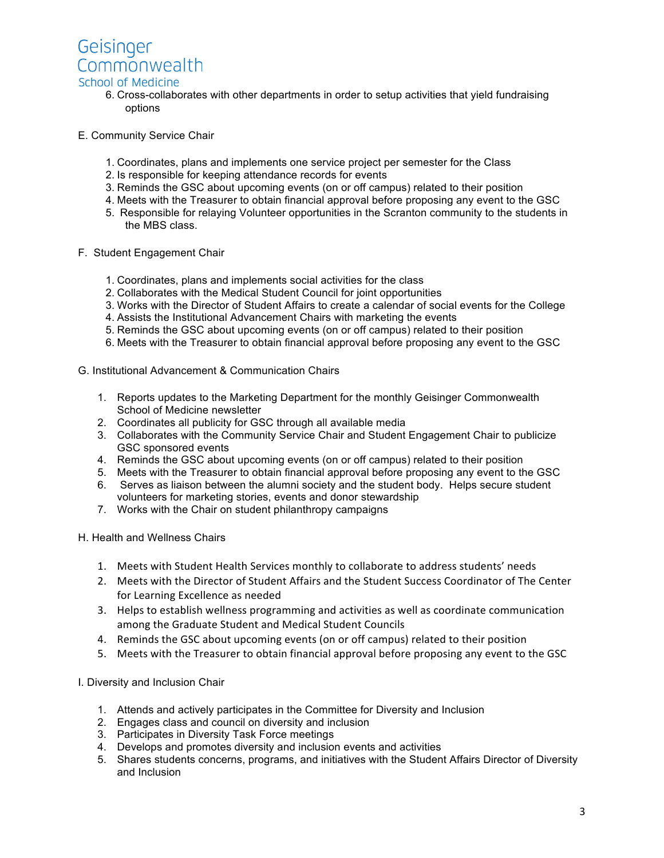

# School of Medicine

- 6. Cross-collaborates with other departments in order to setup activities that yield fundraising options
- E. Community Service Chair
	- 1. Coordinates, plans and implements one service project per semester for the Class
	- 2. Is responsible for keeping attendance records for events
	- 3. Reminds the GSC about upcoming events (on or off campus) related to their position
	- 4. Meets with the Treasurer to obtain financial approval before proposing any event to the GSC
	- 5. Responsible for relaying Volunteer opportunities in the Scranton community to the students in the MBS class.
- F. Student Engagement Chair
	- 1. Coordinates, plans and implements social activities for the class
	- 2. Collaborates with the Medical Student Council for joint opportunities
	- 3. Works with the Director of Student Affairs to create a calendar of social events for the College
	- 4. Assists the Institutional Advancement Chairs with marketing the events
	- 5. Reminds the GSC about upcoming events (on or off campus) related to their position
	- 6. Meets with the Treasurer to obtain financial approval before proposing any event to the GSC
- G. Institutional Advancement & Communication Chairs
	- 1. Reports updates to the Marketing Department for the monthly Geisinger Commonwealth School of Medicine newsletter
	- 2. Coordinates all publicity for GSC through all available media
	- 3. Collaborates with the Community Service Chair and Student Engagement Chair to publicize GSC sponsored events
	- 4. Reminds the GSC about upcoming events (on or off campus) related to their position
	- 5. Meets with the Treasurer to obtain financial approval before proposing any event to the GSC
	- 6. Serves as liaison between the alumni society and the student body. Helps secure student volunteers for marketing stories, events and donor stewardship
	- 7. Works with the Chair on student philanthropy campaigns
- H. Health and Wellness Chairs
	- 1. Meets with Student Health Services monthly to collaborate to address students' needs
	- 2. Meets with the Director of Student Affairs and the Student Success Coordinator of The Center for Learning Excellence as needed
	- 3. Helps to establish wellness programming and activities as well as coordinate communication among the Graduate Student and Medical Student Councils
	- 4. Reminds the GSC about upcoming events (on or off campus) related to their position
	- 5. Meets with the Treasurer to obtain financial approval before proposing any event to the GSC

I. Diversity and Inclusion Chair

- 1. Attends and actively participates in the Committee for Diversity and Inclusion
- 2. Engages class and council on diversity and inclusion
- 3. Participates in Diversity Task Force meetings
- 4. Develops and promotes diversity and inclusion events and activities
- 5. Shares students concerns, programs, and initiatives with the Student Affairs Director of Diversity and Inclusion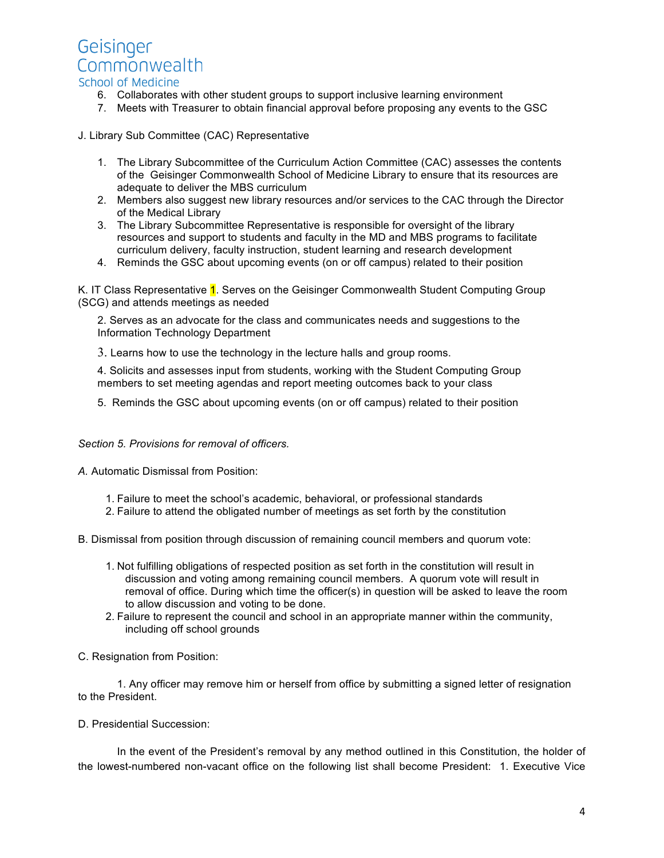

- 6. Collaborates with other student groups to support inclusive learning environment
- 7. Meets with Treasurer to obtain financial approval before proposing any events to the GSC

J. Library Sub Committee (CAC) Representative

- 1. The Library Subcommittee of the Curriculum Action Committee (CAC) assesses the contents of the Geisinger Commonwealth School of Medicine Library to ensure that its resources are adequate to deliver the MBS curriculum
- 2. Members also suggest new library resources and/or services to the CAC through the Director of the Medical Library
- 3. The Library Subcommittee Representative is responsible for oversight of the library resources and support to students and faculty in the MD and MBS programs to facilitate curriculum delivery, faculty instruction, student learning and research development
- 4. Reminds the GSC about upcoming events (on or off campus) related to their position

K. IT Class Representative 1. Serves on the Geisinger Commonwealth Student Computing Group (SCG) and attends meetings as needed

2. Serves as an advocate for the class and communicates needs and suggestions to the Information Technology Department

3. Learns how to use the technology in the lecture halls and group rooms.

4. Solicits and assesses input from students, working with the Student Computing Group members to set meeting agendas and report meeting outcomes back to your class

5. Reminds the GSC about upcoming events (on or off campus) related to their position

*Section 5. Provisions for removal of officers.*

*A.* Automatic Dismissal from Position:

- 1. Failure to meet the school's academic, behavioral, or professional standards
- 2. Failure to attend the obligated number of meetings as set forth by the constitution
- B. Dismissal from position through discussion of remaining council members and quorum vote:
	- 1. Not fulfilling obligations of respected position as set forth in the constitution will result in discussion and voting among remaining council members. A quorum vote will result in removal of office. During which time the officer(s) in question will be asked to leave the room to allow discussion and voting to be done.
	- 2. Failure to represent the council and school in an appropriate manner within the community, including off school grounds
- C. Resignation from Position:

1. Any officer may remove him or herself from office by submitting a signed letter of resignation to the President.

D. Presidential Succession:

In the event of the President's removal by any method outlined in this Constitution, the holder of the lowest-numbered non-vacant office on the following list shall become President: 1. Executive Vice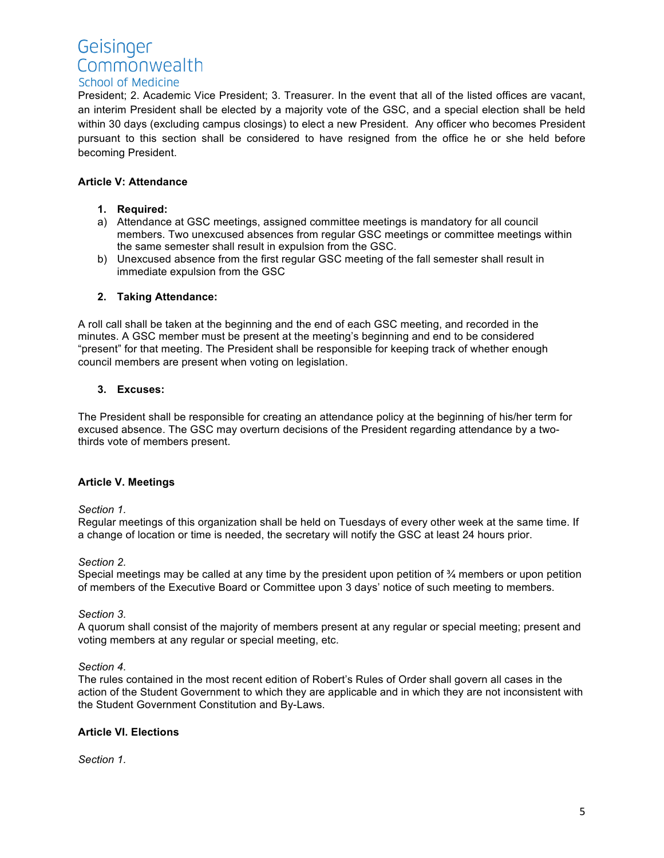# Geisinger Commonwealth School of Medicine

President; 2. Academic Vice President; 3. Treasurer. In the event that all of the listed offices are vacant, an interim President shall be elected by a majority vote of the GSC, and a special election shall be held within 30 days (excluding campus closings) to elect a new President. Any officer who becomes President pursuant to this section shall be considered to have resigned from the office he or she held before becoming President.

## **Article V: Attendance**

- **1. Required:**
- a) Attendance at GSC meetings, assigned committee meetings is mandatory for all council members. Two unexcused absences from regular GSC meetings or committee meetings within the same semester shall result in expulsion from the GSC.
- b) Unexcused absence from the first regular GSC meeting of the fall semester shall result in immediate expulsion from the GSC

#### **2. Taking Attendance:**

A roll call shall be taken at the beginning and the end of each GSC meeting, and recorded in the minutes. A GSC member must be present at the meeting's beginning and end to be considered "present" for that meeting. The President shall be responsible for keeping track of whether enough council members are present when voting on legislation.

#### **3. Excuses:**

The President shall be responsible for creating an attendance policy at the beginning of his/her term for excused absence. The GSC may overturn decisions of the President regarding attendance by a twothirds vote of members present.

## **Article V. Meetings**

#### *Section 1.*

Regular meetings of this organization shall be held on Tuesdays of every other week at the same time. If a change of location or time is needed, the secretary will notify the GSC at least 24 hours prior.

#### *Section 2.*

Special meetings may be called at any time by the president upon petition of ¾ members or upon petition of members of the Executive Board or Committee upon 3 days' notice of such meeting to members.

#### *Section 3.*

A quorum shall consist of the majority of members present at any regular or special meeting; present and voting members at any regular or special meeting, etc.

#### *Section 4.*

The rules contained in the most recent edition of Robert's Rules of Order shall govern all cases in the action of the Student Government to which they are applicable and in which they are not inconsistent with the Student Government Constitution and By-Laws.

## **Article VI. Elections**

*Section 1.*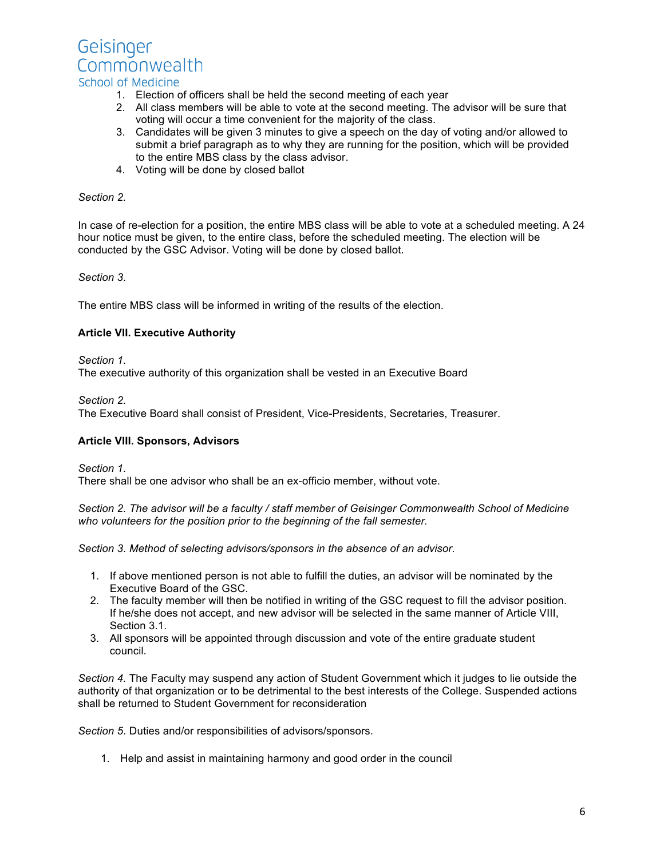

#### 1. Election of officers shall be held the second meeting of each year

- 2. All class members will be able to vote at the second meeting. The advisor will be sure that voting will occur a time convenient for the majority of the class.
- 3. Candidates will be given 3 minutes to give a speech on the day of voting and/or allowed to submit a brief paragraph as to why they are running for the position, which will be provided to the entire MBS class by the class advisor.
- 4. Voting will be done by closed ballot

#### *Section 2.*

In case of re-election for a position, the entire MBS class will be able to vote at a scheduled meeting. A 24 hour notice must be given, to the entire class, before the scheduled meeting. The election will be conducted by the GSC Advisor. Voting will be done by closed ballot.

*Section 3.*

The entire MBS class will be informed in writing of the results of the election.

#### **Article VII. Executive Authority**

*Section 1.*

The executive authority of this organization shall be vested in an Executive Board

*Section 2.*

The Executive Board shall consist of President, Vice-Presidents, Secretaries, Treasurer.

#### **Article VIII. Sponsors, Advisors**

*Section 1.*

There shall be one advisor who shall be an ex-officio member, without vote.

*Section 2. The advisor will be a faculty / staff member of Geisinger Commonwealth School of Medicine who volunteers for the position prior to the beginning of the fall semester.*

*Section 3. Method of selecting advisors/sponsors in the absence of an advisor.* 

- 1. If above mentioned person is not able to fulfill the duties, an advisor will be nominated by the Executive Board of the GSC.
- 2. The faculty member will then be notified in writing of the GSC request to fill the advisor position. If he/she does not accept, and new advisor will be selected in the same manner of Article VIII, Section 3.1.
- 3. All sponsors will be appointed through discussion and vote of the entire graduate student council.

*Section 4.* The Faculty may suspend any action of Student Government which it judges to lie outside the authority of that organization or to be detrimental to the best interests of the College. Suspended actions shall be returned to Student Government for reconsideration

*Section 5*. Duties and/or responsibilities of advisors/sponsors.

1. Help and assist in maintaining harmony and good order in the council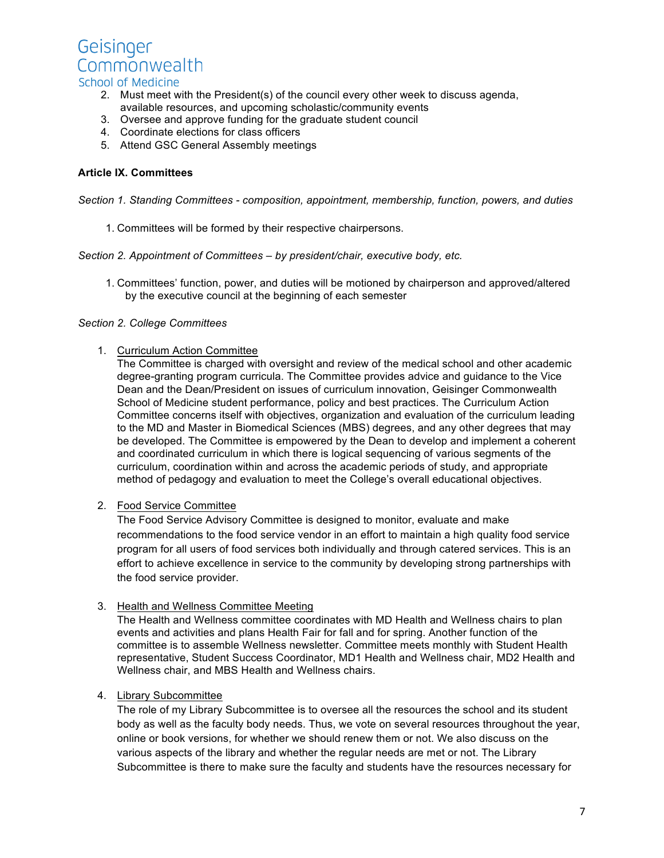

# School of Medicine

- 2. Must meet with the President(s) of the council every other week to discuss agenda, available resources, and upcoming scholastic/community events
- 3. Oversee and approve funding for the graduate student council
- 4. Coordinate elections for class officers
- 5. Attend GSC General Assembly meetings

#### **Article IX. Committees**

*Section 1. Standing Committees - composition, appointment, membership, function, powers, and duties*

1. Committees will be formed by their respective chairpersons.

#### *Section 2. Appointment of Committees – by president/chair, executive body, etc.*

1. Committees' function, power, and duties will be motioned by chairperson and approved/altered by the executive council at the beginning of each semester

#### *Section 2. College Committees*

#### 1. Curriculum Action Committee

The Committee is charged with oversight and review of the medical school and other academic degree-granting program curricula. The Committee provides advice and guidance to the Vice Dean and the Dean/President on issues of curriculum innovation, Geisinger Commonwealth School of Medicine student performance, policy and best practices. The Curriculum Action Committee concerns itself with objectives, organization and evaluation of the curriculum leading to the MD and Master in Biomedical Sciences (MBS) degrees, and any other degrees that may be developed. The Committee is empowered by the Dean to develop and implement a coherent and coordinated curriculum in which there is logical sequencing of various segments of the curriculum, coordination within and across the academic periods of study, and appropriate method of pedagogy and evaluation to meet the College's overall educational objectives.

#### 2. Food Service Committee

The Food Service Advisory Committee is designed to monitor, evaluate and make recommendations to the food service vendor in an effort to maintain a high quality food service program for all users of food services both individually and through catered services. This is an effort to achieve excellence in service to the community by developing strong partnerships with the food service provider.

#### 3. Health and Wellness Committee Meeting

The Health and Wellness committee coordinates with MD Health and Wellness chairs to plan events and activities and plans Health Fair for fall and for spring. Another function of the committee is to assemble Wellness newsletter. Committee meets monthly with Student Health representative, Student Success Coordinator, MD1 Health and Wellness chair, MD2 Health and Wellness chair, and MBS Health and Wellness chairs.

#### 4. Library Subcommittee

The role of my Library Subcommittee is to oversee all the resources the school and its student body as well as the faculty body needs. Thus, we vote on several resources throughout the year, online or book versions, for whether we should renew them or not. We also discuss on the various aspects of the library and whether the regular needs are met or not. The Library Subcommittee is there to make sure the faculty and students have the resources necessary for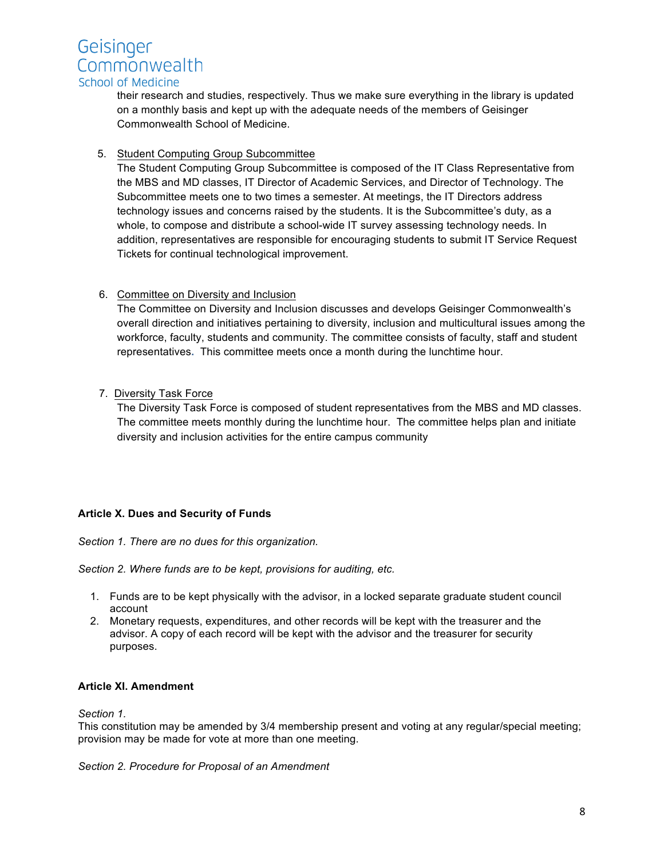

#### School of Medicine

their research and studies, respectively. Thus we make sure everything in the library is updated on a monthly basis and kept up with the adequate needs of the members of Geisinger Commonwealth School of Medicine.

#### 5. Student Computing Group Subcommittee

The Student Computing Group Subcommittee is composed of the IT Class Representative from the MBS and MD classes, IT Director of Academic Services, and Director of Technology. The Subcommittee meets one to two times a semester. At meetings, the IT Directors address technology issues and concerns raised by the students. It is the Subcommittee's duty, as a whole, to compose and distribute a school-wide IT survey assessing technology needs. In addition, representatives are responsible for encouraging students to submit IT Service Request Tickets for continual technological improvement.

## 6. Committee on Diversity and Inclusion

The Committee on Diversity and Inclusion discusses and develops Geisinger Commonwealth's overall direction and initiatives pertaining to diversity, inclusion and multicultural issues among the workforce, faculty, students and community. The committee consists of faculty, staff and student representatives**.** This committee meets once a month during the lunchtime hour.

## 7. Diversity Task Force

The Diversity Task Force is composed of student representatives from the MBS and MD classes. The committee meets monthly during the lunchtime hour. The committee helps plan and initiate diversity and inclusion activities for the entire campus community

## **Article X. Dues and Security of Funds**

*Section 1. There are no dues for this organization.*

*Section 2. Where funds are to be kept, provisions for auditing, etc.*

- 1. Funds are to be kept physically with the advisor, in a locked separate graduate student council account
- 2. Monetary requests, expenditures, and other records will be kept with the treasurer and the advisor. A copy of each record will be kept with the advisor and the treasurer for security purposes.

## **Article XI. Amendment**

*Section 1.*

This constitution may be amended by 3/4 membership present and voting at any regular/special meeting; provision may be made for vote at more than one meeting.

*Section 2. Procedure for Proposal of an Amendment*